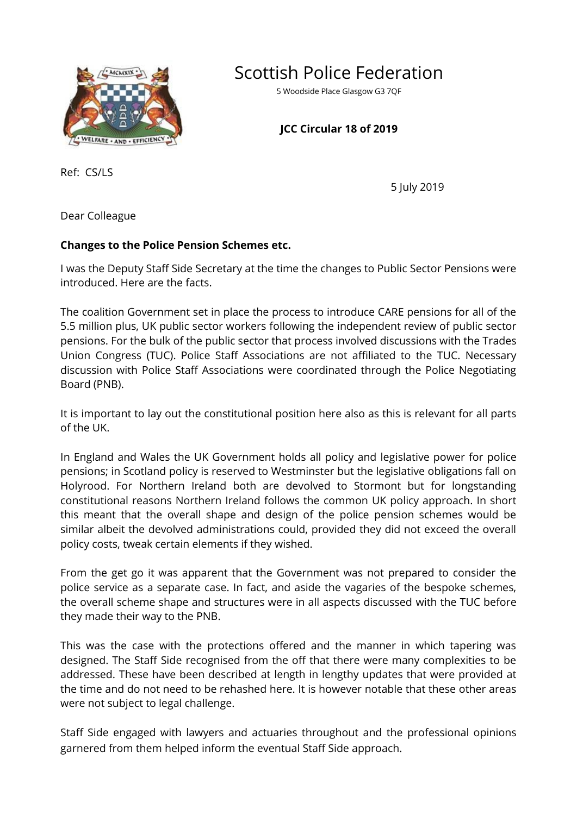

Scottish Police Federation

5 Woodside Place Glasgow G3 7QF

## **JCC Circular 18 of 2019**

Ref: CS/LS

5 July 2019

Dear Colleague

## **Changes to the Police Pension Schemes etc.**

I was the Deputy Staff Side Secretary at the time the changes to Public Sector Pensions were introduced. Here are the facts.

The coalition Government set in place the process to introduce CARE pensions for all of the 5.5 million plus, UK public sector workers following the independent review of public sector pensions. For the bulk of the public sector that process involved discussions with the Trades Union Congress (TUC). Police Staff Associations are not affiliated to the TUC. Necessary discussion with Police Staff Associations were coordinated through the Police Negotiating Board (PNB).

It is important to lay out the constitutional position here also as this is relevant for all parts of the UK.

In England and Wales the UK Government holds all policy and legislative power for police pensions; in Scotland policy is reserved to Westminster but the legislative obligations fall on Holyrood. For Northern Ireland both are devolved to Stormont but for longstanding constitutional reasons Northern Ireland follows the common UK policy approach. In short this meant that the overall shape and design of the police pension schemes would be similar albeit the devolved administrations could, provided they did not exceed the overall policy costs, tweak certain elements if they wished.

From the get go it was apparent that the Government was not prepared to consider the police service as a separate case. In fact, and aside the vagaries of the bespoke schemes, the overall scheme shape and structures were in all aspects discussed with the TUC before they made their way to the PNB.

This was the case with the protections offered and the manner in which tapering was designed. The Staff Side recognised from the off that there were many complexities to be addressed. These have been described at length in lengthy updates that were provided at the time and do not need to be rehashed here. It is however notable that these other areas were not subject to legal challenge.

Staff Side engaged with lawyers and actuaries throughout and the professional opinions garnered from them helped inform the eventual Staff Side approach.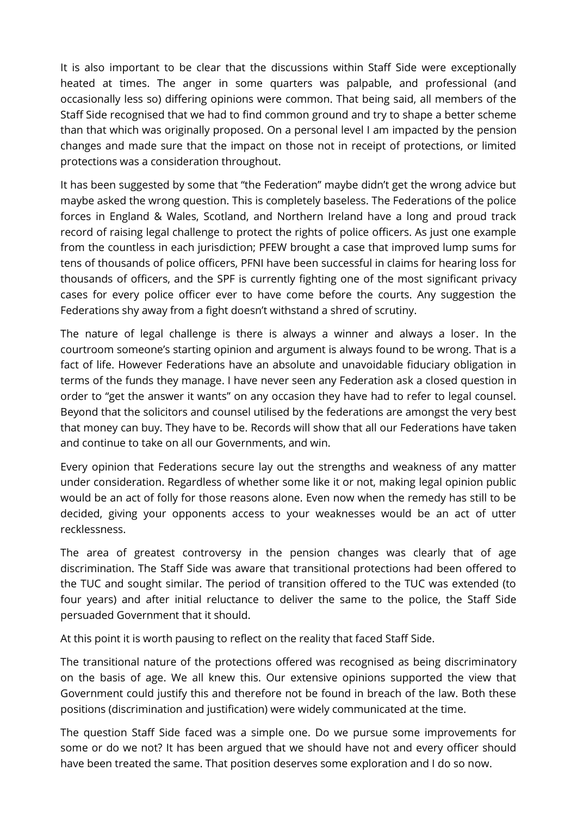It is also important to be clear that the discussions within Staff Side were exceptionally heated at times. The anger in some quarters was palpable, and professional (and occasionally less so) differing opinions were common. That being said, all members of the Staff Side recognised that we had to find common ground and try to shape a better scheme than that which was originally proposed. On a personal level I am impacted by the pension changes and made sure that the impact on those not in receipt of protections, or limited protections was a consideration throughout.

It has been suggested by some that "the Federation" maybe didn't get the wrong advice but maybe asked the wrong question. This is completely baseless. The Federations of the police forces in England & Wales, Scotland, and Northern Ireland have a long and proud track record of raising legal challenge to protect the rights of police officers. As just one example from the countless in each jurisdiction; PFEW brought a case that improved lump sums for tens of thousands of police officers, PFNI have been successful in claims for hearing loss for thousands of officers, and the SPF is currently fighting one of the most significant privacy cases for every police officer ever to have come before the courts. Any suggestion the Federations shy away from a fight doesn't withstand a shred of scrutiny.

The nature of legal challenge is there is always a winner and always a loser. In the courtroom someone's starting opinion and argument is always found to be wrong. That is a fact of life. However Federations have an absolute and unavoidable fiduciary obligation in terms of the funds they manage. I have never seen any Federation ask a closed question in order to "get the answer it wants" on any occasion they have had to refer to legal counsel. Beyond that the solicitors and counsel utilised by the federations are amongst the very best that money can buy. They have to be. Records will show that all our Federations have taken and continue to take on all our Governments, and win.

Every opinion that Federations secure lay out the strengths and weakness of any matter under consideration. Regardless of whether some like it or not, making legal opinion public would be an act of folly for those reasons alone. Even now when the remedy has still to be decided, giving your opponents access to your weaknesses would be an act of utter recklessness.

The area of greatest controversy in the pension changes was clearly that of age discrimination. The Staff Side was aware that transitional protections had been offered to the TUC and sought similar. The period of transition offered to the TUC was extended (to four years) and after initial reluctance to deliver the same to the police, the Staff Side persuaded Government that it should.

At this point it is worth pausing to reflect on the reality that faced Staff Side.

The transitional nature of the protections offered was recognised as being discriminatory on the basis of age. We all knew this. Our extensive opinions supported the view that Government could justify this and therefore not be found in breach of the law. Both these positions (discrimination and justification) were widely communicated at the time.

The question Staff Side faced was a simple one. Do we pursue some improvements for some or do we not? It has been argued that we should have not and every officer should have been treated the same. That position deserves some exploration and I do so now.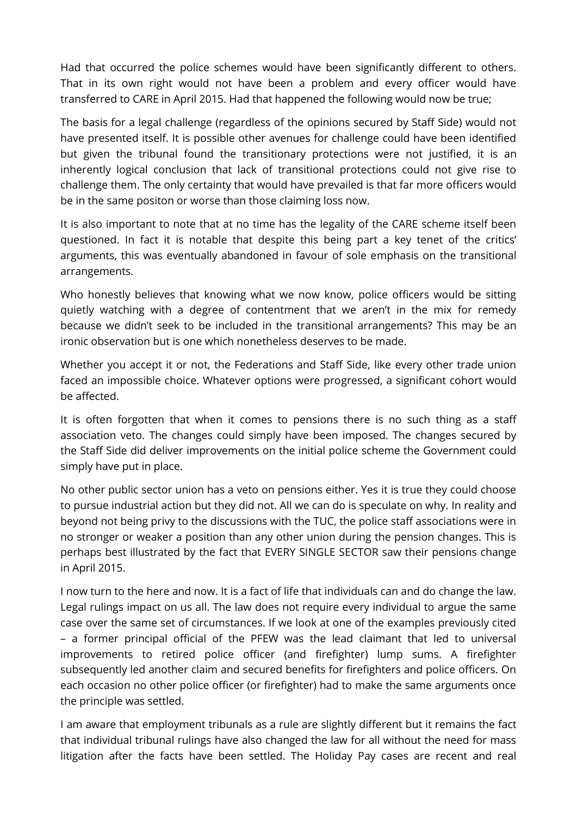Had that occurred the police schemes would have been significantly different to others. That in its own right would not have been a problem and every officer would have transferred to CARE in April 2015. Had that happened the following would now be true;

The basis for a legal challenge (regardless of the opinions secured by Staff Side) would not have presented itself. It is possible other avenues for challenge could have been identified but given the tribunal found the transitionary protections were not justified, it is an inherently logical conclusion that lack of transitional protections could not give rise to challenge them. The only certainty that would have prevailed is that far more officers would be in the same positon or worse than those claiming loss now.

It is also important to note that at no time has the legality of the CARE scheme itself been questioned. In fact it is notable that despite this being part a key tenet of the critics' arguments, this was eventually abandoned in favour of sole emphasis on the transitional arrangements.

Who honestly believes that knowing what we now know, police officers would be sitting quietly watching with a degree of contentment that we aren't in the mix for remedy because we didn't seek to be included in the transitional arrangements? This may be an ironic observation but is one which nonetheless deserves to be made.

Whether you accept it or not, the Federations and Staff Side, like every other trade union faced an impossible choice. Whatever options were progressed, a significant cohort would be affected.

It is often forgotten that when it comes to pensions there is no such thing as a staff association veto. The changes could simply have been imposed. The changes secured by the Staff Side did deliver improvements on the initial police scheme the Government could simply have put in place.

No other public sector union has a veto on pensions either. Yes it is true they could choose to pursue industrial action but they did not. All we can do is speculate on why. In reality and beyond not being privy to the discussions with the TUC, the police staff associations were in no stronger or weaker a position than any other union during the pension changes. This is perhaps best illustrated by the fact that EVERY SINGLE SECTOR saw their pensions change in April 2015.

I now turn to the here and now. It is a fact of life that individuals can and do change the law. Legal rulings impact on us all. The law does not require every individual to argue the same case over the same set of circumstances. If we look at one of the examples previously cited – a former principal official of the PFEW was the lead claimant that led to universal improvements to retired police officer (and firefighter) lump sums. A firefighter subsequently led another claim and secured benefits for firefighters and police officers. On each occasion no other police officer (or firefighter) had to make the same arguments once the principle was settled.

I am aware that employment tribunals as a rule are slightly different but it remains the fact that individual tribunal rulings have also changed the law for all without the need for mass litigation after the facts have been settled. The Holiday Pay cases are recent and real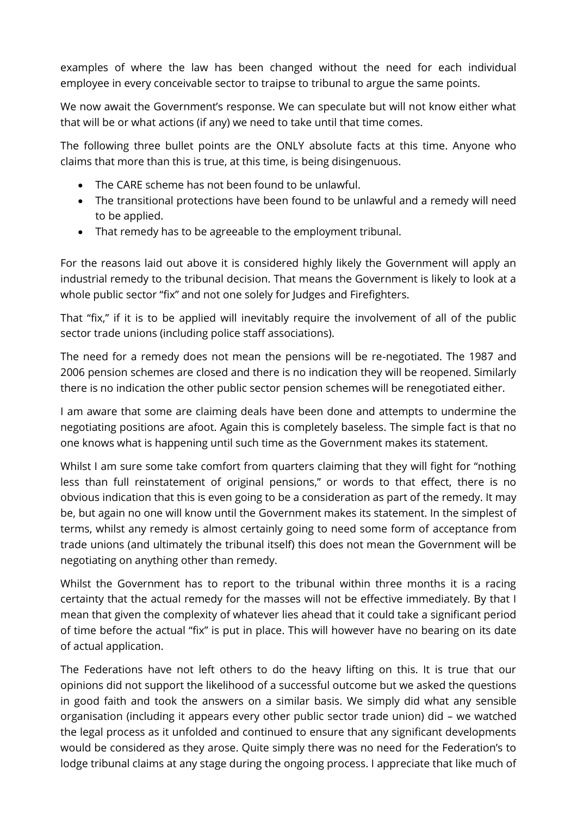examples of where the law has been changed without the need for each individual employee in every conceivable sector to traipse to tribunal to argue the same points.

We now await the Government's response. We can speculate but will not know either what that will be or what actions (if any) we need to take until that time comes.

The following three bullet points are the ONLY absolute facts at this time. Anyone who claims that more than this is true, at this time, is being disingenuous.

- The CARE scheme has not been found to be unlawful.
- The transitional protections have been found to be unlawful and a remedy will need to be applied.
- That remedy has to be agreeable to the employment tribunal.

For the reasons laid out above it is considered highly likely the Government will apply an industrial remedy to the tribunal decision. That means the Government is likely to look at a whole public sector "fix" and not one solely for Judges and Firefighters.

That "fix," if it is to be applied will inevitably require the involvement of all of the public sector trade unions (including police staff associations).

The need for a remedy does not mean the pensions will be re-negotiated. The 1987 and 2006 pension schemes are closed and there is no indication they will be reopened. Similarly there is no indication the other public sector pension schemes will be renegotiated either.

I am aware that some are claiming deals have been done and attempts to undermine the negotiating positions are afoot. Again this is completely baseless. The simple fact is that no one knows what is happening until such time as the Government makes its statement.

Whilst I am sure some take comfort from quarters claiming that they will fight for "nothing less than full reinstatement of original pensions," or words to that effect, there is no obvious indication that this is even going to be a consideration as part of the remedy. It may be, but again no one will know until the Government makes its statement. In the simplest of terms, whilst any remedy is almost certainly going to need some form of acceptance from trade unions (and ultimately the tribunal itself) this does not mean the Government will be negotiating on anything other than remedy.

Whilst the Government has to report to the tribunal within three months it is a racing certainty that the actual remedy for the masses will not be effective immediately. By that I mean that given the complexity of whatever lies ahead that it could take a significant period of time before the actual "fix" is put in place. This will however have no bearing on its date of actual application.

The Federations have not left others to do the heavy lifting on this. It is true that our opinions did not support the likelihood of a successful outcome but we asked the questions in good faith and took the answers on a similar basis. We simply did what any sensible organisation (including it appears every other public sector trade union) did – we watched the legal process as it unfolded and continued to ensure that any significant developments would be considered as they arose. Quite simply there was no need for the Federation's to lodge tribunal claims at any stage during the ongoing process. I appreciate that like much of